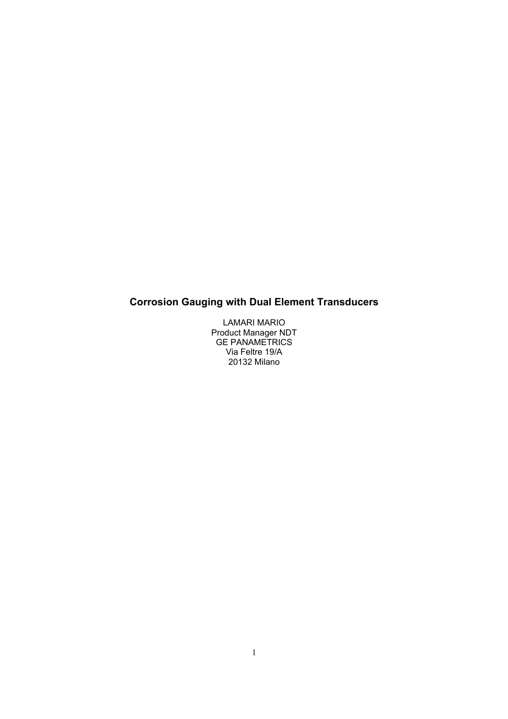# **Corrosion Gauging with Dual Element Transducers**

LAMARI MARIO Product Manager NDT GE PANAMETRICS Via Feltre 19/A 20132 Milano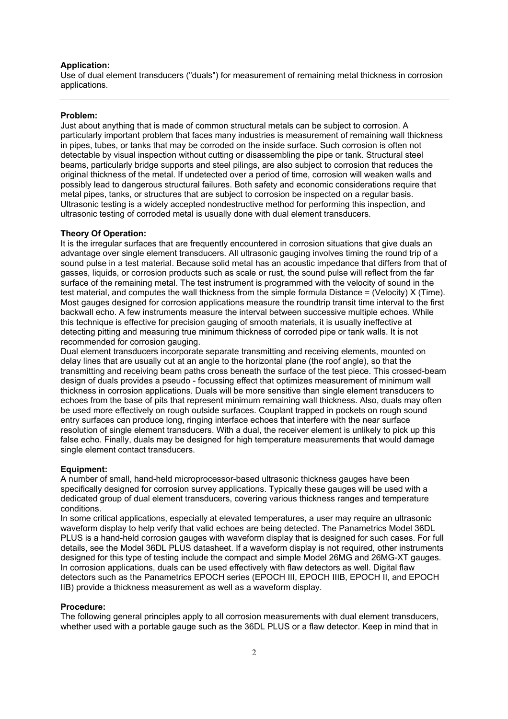## **Application:**

Use of dual element transducers ("duals") for measurement of remaining metal thickness in corrosion applications.

#### **Problem:**

Just about anything that is made of common structural metals can be subject to corrosion. A particularly important problem that faces many industries is measurement of remaining wall thickness in pipes, tubes, or tanks that may be corroded on the inside surface. Such corrosion is often not detectable by visual inspection without cutting or disassembling the pipe or tank. Structural steel beams, particularly bridge supports and steel pilings, are also subject to corrosion that reduces the original thickness of the metal. If undetected over a period of time, corrosion will weaken walls and possibly lead to dangerous structural failures. Both safety and economic considerations require that metal pipes, tanks, or structures that are subject to corrosion be inspected on a regular basis. Ultrasonic testing is a widely accepted nondestructive method for performing this inspection, and ultrasonic testing of corroded metal is usually done with dual element transducers.

#### **Theory Of Operation:**

It is the irregular surfaces that are frequently encountered in corrosion situations that give duals an advantage over single element transducers. All ultrasonic gauging involves timing the round trip of a sound pulse in a test material. Because solid metal has an acoustic impedance that differs from that of gasses, liquids, or corrosion products such as scale or rust, the sound pulse will reflect from the far surface of the remaining metal. The test instrument is programmed with the velocity of sound in the test material, and computes the wall thickness from the simple formula Distance = (Velocity) X (Time). Most gauges designed for corrosion applications measure the roundtrip transit time interval to the first backwall echo. A few instruments measure the interval between successive multiple echoes. While this technique is effective for precision gauging of smooth materials, it is usually ineffective at detecting pitting and measuring true minimum thickness of corroded pipe or tank walls. It is not recommended for corrosion gauging.

Dual element transducers incorporate separate transmitting and receiving elements, mounted on delay lines that are usually cut at an angle to the horizontal plane (the roof angle), so that the transmitting and receiving beam paths cross beneath the surface of the test piece. This crossed-beam design of duals provides a pseudo - focussing effect that optimizes measurement of minimum wall thickness in corrosion applications. Duals will be more sensitive than single element transducers to echoes from the base of pits that represent minimum remaining wall thickness. Also, duals may often be used more effectively on rough outside surfaces. Couplant trapped in pockets on rough sound entry surfaces can produce long, ringing interface echoes that interfere with the near surface resolution of single element transducers. With a dual, the receiver element is unlikely to pick up this false echo. Finally, duals may be designed for high temperature measurements that would damage single element contact transducers.

#### **Equipment:**

A number of small, hand-held microprocessor-based ultrasonic thickness gauges have been specifically designed for corrosion survey applications. Typically these gauges will be used with a dedicated group of dual element transducers, covering various thickness ranges and temperature conditions.

In some critical applications, especially at elevated temperatures, a user may require an ultrasonic waveform display to help verify that valid echoes are being detected. The Panametrics Model 36DL PLUS is a hand-held corrosion gauges with waveform display that is designed for such cases. For full details, see the Model 36DL PLUS datasheet. If a waveform display is not required, other instruments designed for this type of testing include the compact and simple Model 26MG and 26MG-XT gauges. In corrosion applications, duals can be used effectively with flaw detectors as well. Digital flaw detectors such as the Panametrics EPOCH series (EPOCH III, EPOCH IIIB, EPOCH II, and EPOCH IIB) provide a thickness measurement as well as a waveform display.

## **Procedure:**

The following general principles apply to all corrosion measurements with dual element transducers, whether used with a portable gauge such as the 36DL PLUS or a flaw detector. Keep in mind that in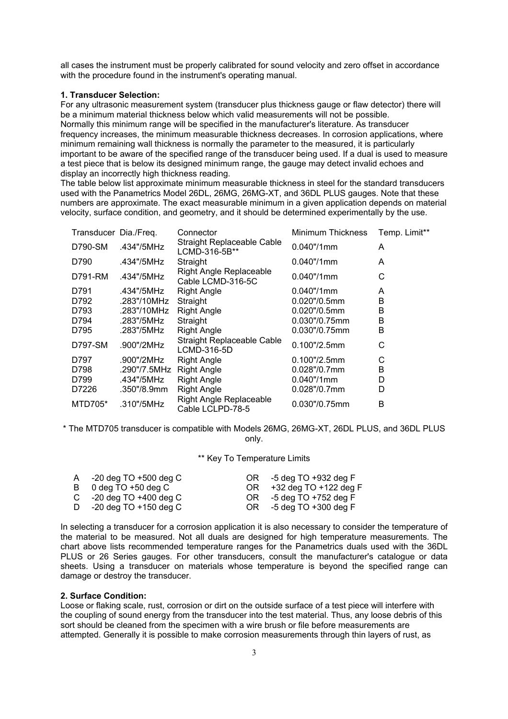all cases the instrument must be properly calibrated for sound velocity and zero offset in accordance with the procedure found in the instrument's operating manual.

# **1. Transducer Selection:**

For any ultrasonic measurement system (transducer plus thickness gauge or flaw detector) there will be a minimum material thickness below which valid measurements will not be possible. Normally this minimum range will be specified in the manufacturer's literature. As transducer frequency increases, the minimum measurable thickness decreases. In corrosion applications, where minimum remaining wall thickness is normally the parameter to the measured, it is particularly important to be aware of the specified range of the transducer being used. If a dual is used to measure a test piece that is below its designed minimum range, the gauge may detect invalid echoes and display an incorrectly high thickness reading.

The table below list approximate minimum measurable thickness in steel for the standard transducers used with the Panametrics Model 26DL, 26MG, 26MG-XT, and 36DL PLUS gauges. Note that these numbers are approximate. The exact measurable minimum in a given application depends on material velocity, surface condition, and geometry, and it should be determined experimentally by the use.

| Transducer Dia./Freq. |              | Connector                                           | <b>Minimum Thickness</b> | Temp. Limit** |
|-----------------------|--------------|-----------------------------------------------------|--------------------------|---------------|
| D790-SM               | .434"/5MHz   | Straight Replaceable Cable<br>LCMD-316-5B**         | 0.040"/1mm               | A             |
| D790                  | .434"/5MHz   | Straight                                            | $0.040$ "/1mm            | A             |
| D791-RM               | .434"/5MHz   | <b>Right Angle Replaceable</b><br>Cable LCMD-316-5C | 0.040"/1mm               | С             |
| D791                  | .434"/5MHz   | <b>Right Angle</b>                                  | $0.040$ "/1mm            | A             |
| D792                  | .283"/10MHz  | Straight                                            | $0.020$ "/0.5mm          | В             |
| D793                  | .283"/10MHz  | <b>Right Angle</b>                                  | $0.020$ "/0.5mm          | B             |
| D794                  | .283"/5MHz   | Straight                                            | $0.030$ "/0.75mm         | B             |
| D795                  | .283"/5MHz   | <b>Right Angle</b>                                  | $0.030$ "/0.75mm         | B             |
| D797-SM               | .900"/2MHz   | <b>Straight Replaceable Cable</b><br>LCMD-316-5D    | $0.100$ "/2.5mm          | С             |
| D797                  | .900"/2MHz   | <b>Right Angle</b>                                  | $0.100$ "/2.5mm          | С             |
| D798                  | .290"/7.5MHz | <b>Right Angle</b>                                  | $0.028$ "/0.7mm          | B             |
| D799                  | .434"/5MHz   | <b>Right Angle</b>                                  | $0.040$ "/1mm            | D             |
| D7226                 | .350"/8.9mm  | <b>Right Angle</b>                                  | $0.028$ "/0.7mm          | D             |
| MTD705*               | .310"/5MHz   | <b>Right Angle Replaceable</b><br>Cable LCLPD-78-5  | 0.030"/0.75mm            | B             |

\* The MTD705 transducer is compatible with Models 26MG, 26MG-XT, 26DL PLUS, and 36DL PLUS only.

\*\* Key To Temperature Limits

| A $-20$ deg TO $+500$ deg C              | OR | -5 deg TO +932 deg F     |
|------------------------------------------|----|--------------------------|
| B $0 \text{ deg } TO +50 \text{ deg } C$ | OR | +32 deg TO +122 deg F    |
| C $-20$ deg TO $+400$ deg C              | OR | -5 deg TO +752 deg F     |
| D $-20$ deg TO $+150$ deg C              | OR | $-5$ deg TO $+300$ deg F |

In selecting a transducer for a corrosion application it is also necessary to consider the temperature of the material to be measured. Not all duals are designed for high temperature measurements. The chart above lists recommended temperature ranges for the Panametrics duals used with the 36DL PLUS or 26 Series gauges. For other transducers, consult the manufacturer's catalogue or data sheets. Using a transducer on materials whose temperature is beyond the specified range can damage or destroy the transducer.

# **2. Surface Condition:**

Loose or flaking scale, rust, corrosion or dirt on the outside surface of a test piece will interfere with the coupling of sound energy from the transducer into the test material. Thus, any loose debris of this sort should be cleaned from the specimen with a wire brush or file before measurements are attempted. Generally it is possible to make corrosion measurements through thin layers of rust, as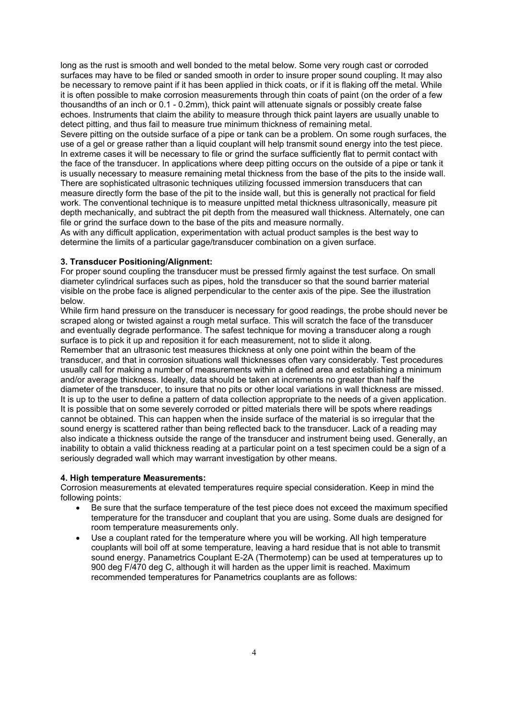long as the rust is smooth and well bonded to the metal below. Some very rough cast or corroded surfaces may have to be filed or sanded smooth in order to insure proper sound coupling. It may also be necessary to remove paint if it has been applied in thick coats, or if it is flaking off the metal. While it is often possible to make corrosion measurements through thin coats of paint (on the order of a few thousandths of an inch or 0.1 - 0.2mm), thick paint will attenuate signals or possibly create false echoes. Instruments that claim the ability to measure through thick paint layers are usually unable to detect pitting, and thus fail to measure true minimum thickness of remaining metal.

Severe pitting on the outside surface of a pipe or tank can be a problem. On some rough surfaces, the use of a gel or grease rather than a liquid couplant will help transmit sound energy into the test piece. In extreme cases it will be necessary to file or grind the surface sufficiently flat to permit contact with the face of the transducer. In applications where deep pitting occurs on the outside of a pipe or tank it is usually necessary to measure remaining metal thickness from the base of the pits to the inside wall. There are sophisticated ultrasonic techniques utilizing focussed immersion transducers that can measure directly form the base of the pit to the inside wall, but this is generally not practical for field work. The conventional technique is to measure unpitted metal thickness ultrasonically, measure pit depth mechanically, and subtract the pit depth from the measured wall thickness. Alternately, one can file or grind the surface down to the base of the pits and measure normally.

As with any difficult application, experimentation with actual product samples is the best way to determine the limits of a particular gage/transducer combination on a given surface.

# **3. Transducer Positioning/Alignment:**

For proper sound coupling the transducer must be pressed firmly against the test surface. On small diameter cylindrical surfaces such as pipes, hold the transducer so that the sound barrier material visible on the probe face is aligned perpendicular to the center axis of the pipe. See the illustration below.

While firm hand pressure on the transducer is necessary for good readings, the probe should never be scraped along or twisted against a rough metal surface. This will scratch the face of the transducer and eventually degrade performance. The safest technique for moving a transducer along a rough surface is to pick it up and reposition it for each measurement, not to slide it along.

Remember that an ultrasonic test measures thickness at only one point within the beam of the transducer, and that in corrosion situations wall thicknesses often vary considerably. Test procedures usually call for making a number of measurements within a defined area and establishing a minimum and/or average thickness. Ideally, data should be taken at increments no greater than half the diameter of the transducer, to insure that no pits or other local variations in wall thickness are missed. It is up to the user to define a pattern of data collection appropriate to the needs of a given application. It is possible that on some severely corroded or pitted materials there will be spots where readings cannot be obtained. This can happen when the inside surface of the material is so irregular that the sound energy is scattered rather than being reflected back to the transducer. Lack of a reading may also indicate a thickness outside the range of the transducer and instrument being used. Generally, an inability to obtain a valid thickness reading at a particular point on a test specimen could be a sign of a seriously degraded wall which may warrant investigation by other means.

# **4. High temperature Measurements:**

Corrosion measurements at elevated temperatures require special consideration. Keep in mind the following points:

- Be sure that the surface temperature of the test piece does not exceed the maximum specified temperature for the transducer and couplant that you are using. Some duals are designed for room temperature measurements only.
- Use a couplant rated for the temperature where you will be working. All high temperature couplants will boil off at some temperature, leaving a hard residue that is not able to transmit sound energy. Panametrics Couplant E-2A (Thermotemp) can be used at temperatures up to 900 deg F/470 deg C, although it will harden as the upper limit is reached. Maximum recommended temperatures for Panametrics couplants are as follows: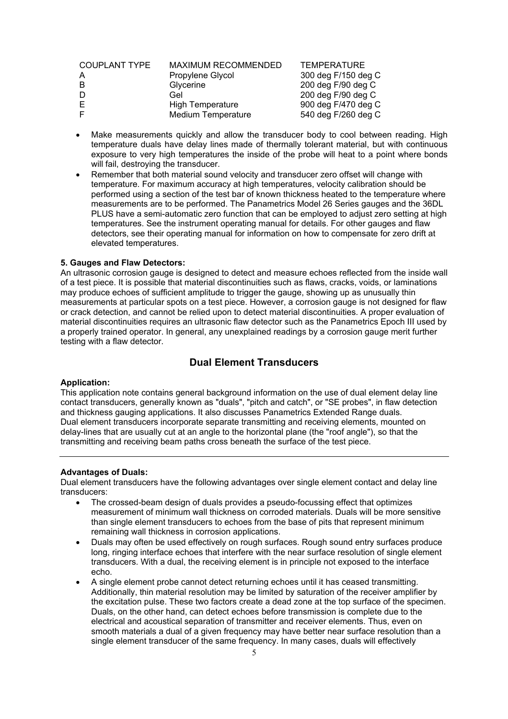| <b>COUPLANT TYPE</b> | <b>MAXIMUM RECOMMENDED</b> | <b>TEMPERATURE</b>  |
|----------------------|----------------------------|---------------------|
|                      | Propylene Glycol           | 300 deg F/150 deg C |
| -B                   | Glycerine                  | 200 deg F/90 deg C  |
| D                    | Gel                        | 200 deg F/90 deg C  |
| F                    | <b>High Temperature</b>    | 900 deg F/470 deg C |
| -F                   | <b>Medium Temperature</b>  | 540 deg F/260 deg C |

- Make measurements quickly and allow the transducer body to cool between reading. High temperature duals have delay lines made of thermally tolerant material, but with continuous exposure to very high temperatures the inside of the probe will heat to a point where bonds will fail, destroying the transducer.
- Remember that both material sound velocity and transducer zero offset will change with temperature. For maximum accuracy at high temperatures, velocity calibration should be performed using a section of the test bar of known thickness heated to the temperature where measurements are to be performed. The Panametrics Model 26 Series gauges and the 36DL PLUS have a semi-automatic zero function that can be employed to adjust zero setting at high temperatures. See the instrument operating manual for details. For other gauges and flaw detectors, see their operating manual for information on how to compensate for zero drift at elevated temperatures.

# **5. Gauges and Flaw Detectors:**

An ultrasonic corrosion gauge is designed to detect and measure echoes reflected from the inside wall of a test piece. It is possible that material discontinuities such as flaws, cracks, voids, or laminations may produce echoes of sufficient amplitude to trigger the gauge, showing up as unusually thin measurements at particular spots on a test piece. However, a corrosion gauge is not designed for flaw or crack detection, and cannot be relied upon to detect material discontinuities. A proper evaluation of material discontinuities requires an ultrasonic flaw detector such as the Panametrics Epoch III used by a properly trained operator. In general, any unexplained readings by a corrosion gauge merit further testing with a flaw detector.

# **Dual Element Transducers**

#### **Application:**

This application note contains general background information on the use of dual element delay line contact transducers, generally known as "duals", "pitch and catch", or "SE probes", in flaw detection and thickness gauging applications. It also discusses Panametrics Extended Range duals. Dual element transducers incorporate separate transmitting and receiving elements, mounted on delay-lines that are usually cut at an angle to the horizontal plane (the "roof angle"), so that the transmitting and receiving beam paths cross beneath the surface of the test piece.

#### **Advantages of Duals:**

Dual element transducers have the following advantages over single element contact and delay line transducers:

- The crossed-beam design of duals provides a pseudo-focussing effect that optimizes measurement of minimum wall thickness on corroded materials. Duals will be more sensitive than single element transducers to echoes from the base of pits that represent minimum remaining wall thickness in corrosion applications.
- Duals may often be used effectively on rough surfaces. Rough sound entry surfaces produce long, ringing interface echoes that interfere with the near surface resolution of single element transducers. With a dual, the receiving element is in principle not exposed to the interface echo.
- A single element probe cannot detect returning echoes until it has ceased transmitting. Additionally, thin material resolution may be limited by saturation of the receiver amplifier by the excitation pulse. These two factors create a dead zone at the top surface of the specimen. Duals, on the other hand, can detect echoes before transmission is complete due to the electrical and acoustical separation of transmitter and receiver elements. Thus, even on smooth materials a dual of a given frequency may have better near surface resolution than a single element transducer of the same frequency. In many cases, duals will effectively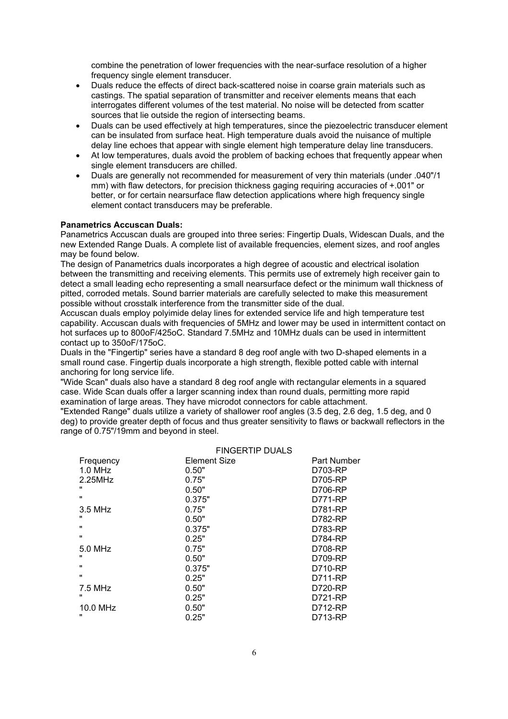combine the penetration of lower frequencies with the near-surface resolution of a higher frequency single element transducer.

- Duals reduce the effects of direct back-scattered noise in coarse grain materials such as castings. The spatial separation of transmitter and receiver elements means that each interrogates different volumes of the test material. No noise will be detected from scatter sources that lie outside the region of intersecting beams.
- Duals can be used effectively at high temperatures, since the piezoelectric transducer element can be insulated from surface heat. High temperature duals avoid the nuisance of multiple delay line echoes that appear with single element high temperature delay line transducers.
- At low temperatures, duals avoid the problem of backing echoes that frequently appear when single element transducers are chilled.
- Duals are generally not recommended for measurement of very thin materials (under .040"/1 mm) with flaw detectors, for precision thickness gaging requiring accuracies of +.001" or better, or for certain nearsurface flaw detection applications where high frequency single element contact transducers may be preferable.

# **Panametrics Accuscan Duals:**

Panametrics Accuscan duals are grouped into three series: Fingertip Duals, Widescan Duals, and the new Extended Range Duals. A complete list of available frequencies, element sizes, and roof angles may be found below.

The design of Panametrics duals incorporates a high degree of acoustic and electrical isolation between the transmitting and receiving elements. This permits use of extremely high receiver gain to detect a small leading echo representing a small nearsurface defect or the minimum wall thickness of pitted, corroded metals. Sound barrier materials are carefully selected to make this measurement possible without crosstalk interference from the transmitter side of the dual.

Accuscan duals employ polyimide delay lines for extended service life and high temperature test capability. Accuscan duals with frequencies of 5MHz and lower may be used in intermittent contact on hot surfaces up to 800oF/425oC. Standard 7.5MHz and 10MHz duals can be used in intermittent contact up to 350oF/175oC.

Duals in the "Fingertip" series have a standard 8 deg roof angle with two D-shaped elements in a small round case. Fingertip duals incorporate a high strength, flexible potted cable with internal anchoring for long service life.

"Wide Scan" duals also have a standard 8 deg roof angle with rectangular elements in a squared case. Wide Scan duals offer a larger scanning index than round duals, permitting more rapid examination of large areas. They have microdot connectors for cable attachment.

"Extended Range" duals utilize a variety of shallower roof angles (3.5 deg, 2.6 deg, 1.5 deg, and 0 deg) to provide greater depth of focus and thus greater sensitivity to flaws or backwall reflectors in the range of 0.75"/19mm and beyond in steel.

|              | <b>FINGERTIP DUALS</b> |             |
|--------------|------------------------|-------------|
| Frequency    | <b>Element Size</b>    | Part Number |
| $1.0$ MHz    | 0.50"                  | D703-RP     |
| 2.25MHz      | 0.75"                  | D705-RP     |
|              | 0.50"                  | D706-RP     |
| $\mathbf{u}$ | 0.375"                 | D771-RP     |
| 3.5 MHz      | 0.75"                  | D781-RP     |
|              | 0.50"                  | D782-RP     |
| $\mathbf{u}$ | 0.375"                 | D783-RP     |
| $\mathbf{H}$ | 0.25"                  | D784-RP     |
| 5.0 MHz      | 0.75"                  | D708-RP     |
|              | 0.50"                  | D709-RP     |
| $\mathbf{H}$ | 0.375"                 | D710-RP     |
| $\mathbf{H}$ | 0.25"                  | D711-RP     |
| $7.5$ MHz    | 0.50"                  | D720-RP     |
|              | 0.25"                  | D721-RP     |
| 10.0 MHz     | 0.50"                  | D712-RP     |
|              | 0.25"                  | D713-RP     |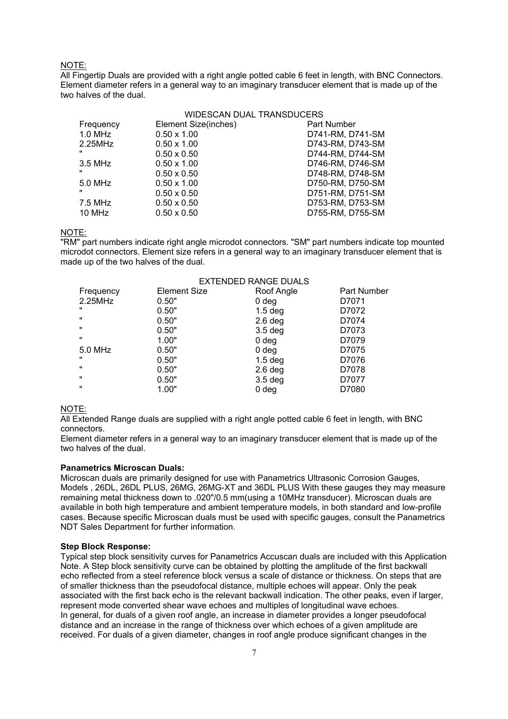# NOTE:

All Fingertip Duals are provided with a right angle potted cable 6 feet in length, with BNC Connectors. Element diameter refers in a general way to an imaginary transducer element that is made up of the two halves of the dual.

# WIDESCAN DUAL TRANSDUCERS

| Frequency    | Element Size(inches) | Part Number      |
|--------------|----------------------|------------------|
| $1.0$ MHz    | $0.50 \times 1.00$   | D741-RM, D741-SM |
| 2.25MHz      | $0.50 \times 1.00$   | D743-RM, D743-SM |
| $\mathbf{u}$ | $0.50 \times 0.50$   | D744-RM, D744-SM |
| 3.5 MHz      | $0.50 \times 1.00$   | D746-RM, D746-SM |
| $\mathbf{u}$ | $0.50 \times 0.50$   | D748-RM, D748-SM |
| 5.0 MHz      | $0.50 \times 1.00$   | D750-RM, D750-SM |
| $\mathbf{u}$ | $0.50 \times 0.50$   | D751-RM, D751-SM |
| 7.5 MHz      | $0.50 \times 0.50$   | D753-RM, D753-SM |
| 10 MHz       | $0.50 \times 0.50$   | D755-RM, D755-SM |
|              |                      |                  |

# NOTE:

"RM" part numbers indicate right angle microdot connectors. "SM" part numbers indicate top mounted microdot connectors. Element size refers in a general way to an imaginary transducer element that is made up of the two halves of the dual.

|                | <b>EXTENDED RANGE DUALS</b> |                  |             |
|----------------|-----------------------------|------------------|-------------|
| Frequency      | Element Size                | Roof Angle       | Part Number |
| 2.25MHz        | 0.50"                       | 0 deg            | D7071       |
| $\mathbf{u}$   | 0.50"                       | $1.5$ deg        | D7072       |
| $\mathbf{u}$   | 0.50"                       | $2.6$ deg        | D7074       |
| $\mathbf{u}$   | 0.50"                       | $3.5$ deg        | D7073       |
| $\mathbf{u}$   | 1.00"                       | 0 <sub>deg</sub> | D7079       |
| 5.0 MHz        | 0.50"                       | 0 <sub>deg</sub> | D7075       |
| $\mathbf{u}$   | 0.50"                       | $1.5$ deg        | D7076       |
| $\mathbf{u}$   | 0.50"                       | $2.6$ deg        | D7078       |
| $\blacksquare$ | 0.50"                       | $3.5$ deg        | D7077       |
| $\mathbf{u}$   | 1.00"                       | 0 <sub>deg</sub> | D7080       |

# NOTE:

All Extended Range duals are supplied with a right angle potted cable 6 feet in length, with BNC connectors.

Element diameter refers in a general way to an imaginary transducer element that is made up of the two halves of the dual.

#### **Panametrics Microscan Duals:**

Microscan duals are primarily designed for use with Panametrics Ultrasonic Corrosion Gauges, Models , 26DL, 26DL PLUS, 26MG, 26MG-XT and 36DL PLUS With these gauges they may measure remaining metal thickness down to .020"/0.5 mm(using a 10MHz transducer). Microscan duals are available in both high temperature and ambient temperature models, in both standard and low-profile cases. Because specific Microscan duals must be used with specific gauges, consult the Panametrics NDT Sales Department for further information.

#### **Step Block Response:**

Typical step block sensitivity curves for Panametrics Accuscan duals are included with this Application Note. A Step block sensitivity curve can be obtained by plotting the amplitude of the first backwall echo reflected from a steel reference block versus a scale of distance or thickness. On steps that are of smaller thickness than the pseudofocal distance, multiple echoes will appear. Only the peak associated with the first back echo is the relevant backwall indication. The other peaks, even if larger, represent mode converted shear wave echoes and multiples of longitudinal wave echoes. In general, for duals of a given roof angle, an increase in diameter provides a longer pseudofocal distance and an increase in the range of thickness over which echoes of a given amplitude are received. For duals of a given diameter, changes in roof angle produce significant changes in the